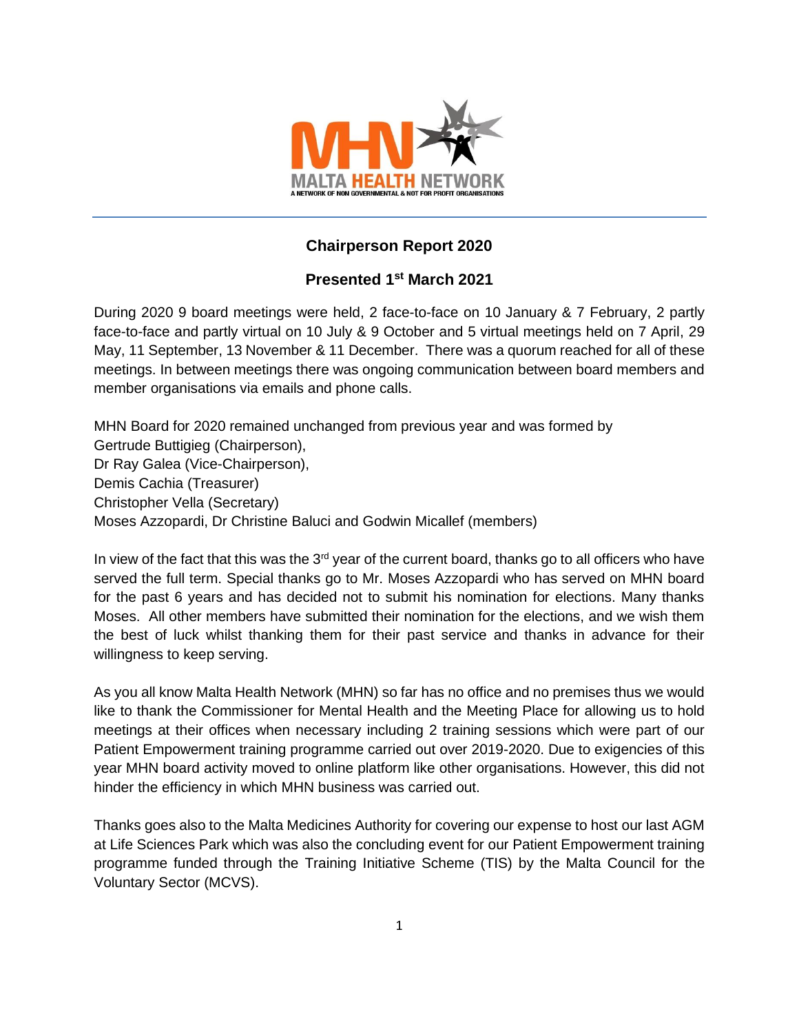

# **Chairperson Report 2020**

## **Presented 1 st March 2021**

During 2020 9 board meetings were held, 2 face-to-face on 10 January & 7 February, 2 partly face-to-face and partly virtual on 10 July & 9 October and 5 virtual meetings held on 7 April, 29 May, 11 September, 13 November & 11 December. There was a quorum reached for all of these meetings. In between meetings there was ongoing communication between board members and member organisations via emails and phone calls.

MHN Board for 2020 remained unchanged from previous year and was formed by Gertrude Buttigieg (Chairperson), Dr Ray Galea (Vice-Chairperson), Demis Cachia (Treasurer) Christopher Vella (Secretary) Moses Azzopardi, Dr Christine Baluci and Godwin Micallef (members)

In view of the fact that this was the  $3<sup>rd</sup>$  year of the current board, thanks go to all officers who have served the full term. Special thanks go to Mr. Moses Azzopardi who has served on MHN board for the past 6 years and has decided not to submit his nomination for elections. Many thanks Moses. All other members have submitted their nomination for the elections, and we wish them the best of luck whilst thanking them for their past service and thanks in advance for their willingness to keep serving.

As you all know Malta Health Network (MHN) so far has no office and no premises thus we would like to thank the Commissioner for Mental Health and the Meeting Place for allowing us to hold meetings at their offices when necessary including 2 training sessions which were part of our Patient Empowerment training programme carried out over 2019-2020. Due to exigencies of this year MHN board activity moved to online platform like other organisations. However, this did not hinder the efficiency in which MHN business was carried out.

Thanks goes also to the Malta Medicines Authority for covering our expense to host our last AGM at Life Sciences Park which was also the concluding event for our Patient Empowerment training programme funded through the Training Initiative Scheme (TIS) by the Malta Council for the Voluntary Sector (MCVS).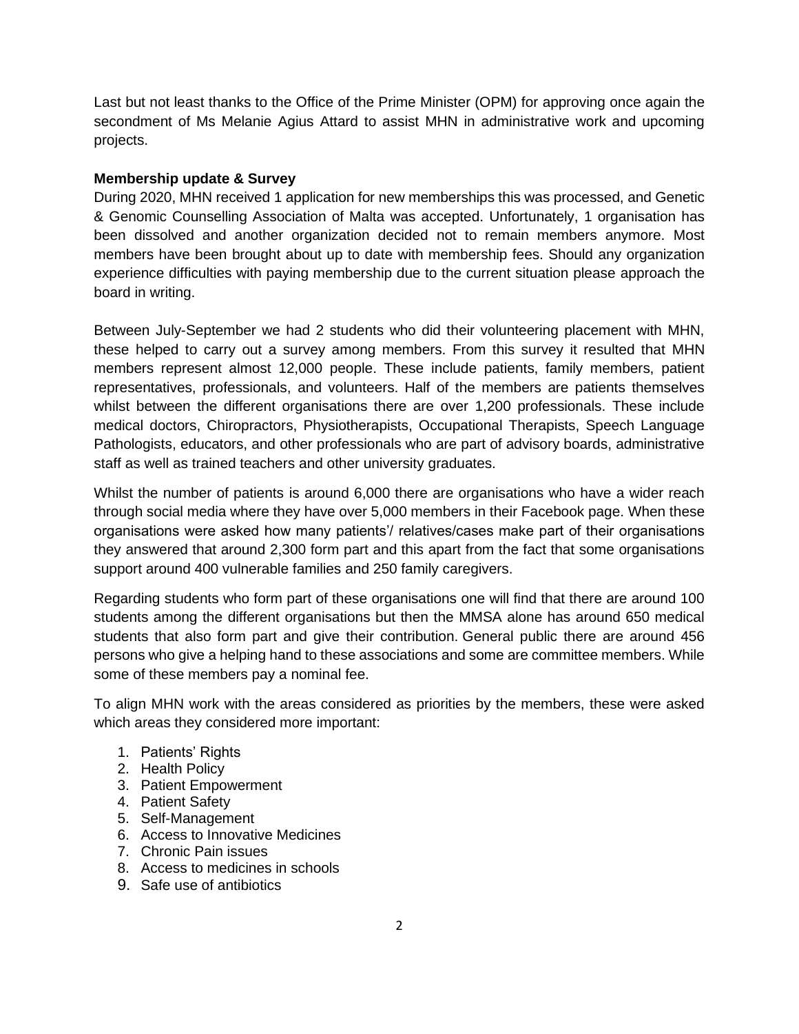Last but not least thanks to the Office of the Prime Minister (OPM) for approving once again the secondment of Ms Melanie Agius Attard to assist MHN in administrative work and upcoming projects.

### **Membership update & Survey**

During 2020, MHN received 1 application for new memberships this was processed, and Genetic & Genomic Counselling Association of Malta was accepted. Unfortunately, 1 organisation has been dissolved and another organization decided not to remain members anymore. Most members have been brought about up to date with membership fees. Should any organization experience difficulties with paying membership due to the current situation please approach the board in writing.

Between July-September we had 2 students who did their volunteering placement with MHN, these helped to carry out a survey among members. From this survey it resulted that MHN members represent almost 12,000 people. These include patients, family members, patient representatives, professionals, and volunteers. Half of the members are patients themselves whilst between the different organisations there are over 1,200 professionals. These include medical doctors, Chiropractors, Physiotherapists, Occupational Therapists, Speech Language Pathologists, educators, and other professionals who are part of advisory boards, administrative staff as well as trained teachers and other university graduates.

Whilst the number of patients is around 6,000 there are organisations who have a wider reach through social media where they have over 5,000 members in their Facebook page. When these organisations were asked how many patients'/ relatives/cases make part of their organisations they answered that around 2,300 form part and this apart from the fact that some organisations support around 400 vulnerable families and 250 family caregivers.

Regarding students who form part of these organisations one will find that there are around 100 students among the different organisations but then the MMSA alone has around 650 medical students that also form part and give their contribution. General public there are around 456 persons who give a helping hand to these associations and some are committee members. While some of these members pay a nominal fee.

To align MHN work with the areas considered as priorities by the members, these were asked which areas they considered more important:

- 1. Patients' Rights
- 2. Health Policy
- 3. Patient Empowerment
- 4. Patient Safety
- 5. Self-Management
- 6. Access to Innovative Medicines
- 7. Chronic Pain issues
- 8. Access to medicines in schools
- 9. Safe use of antibiotics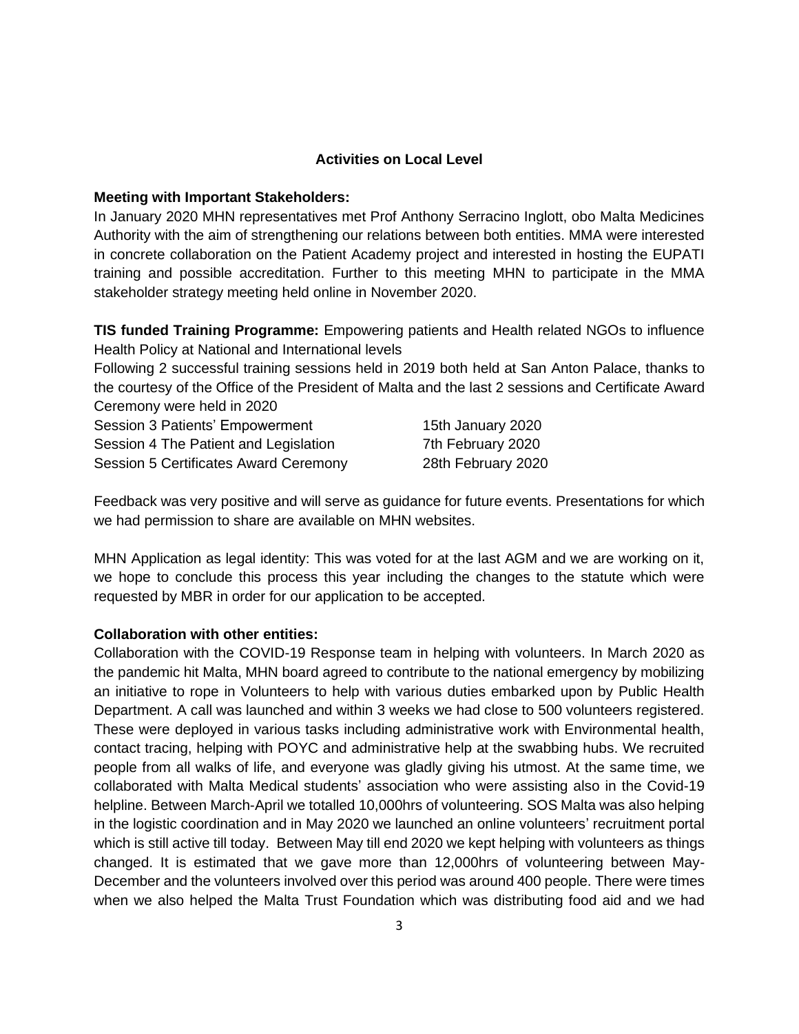#### **Activities on Local Level**

#### **Meeting with Important Stakeholders:**

In January 2020 MHN representatives met Prof Anthony Serracino Inglott, obo Malta Medicines Authority with the aim of strengthening our relations between both entities. MMA were interested in concrete collaboration on the Patient Academy project and interested in hosting the EUPATI training and possible accreditation. Further to this meeting MHN to participate in the MMA stakeholder strategy meeting held online in November 2020.

**TIS funded Training Programme:** Empowering patients and Health related NGOs to influence Health Policy at National and International levels

Following 2 successful training sessions held in 2019 both held at San Anton Palace, thanks to the courtesy of the Office of the President of Malta and the last 2 sessions and Certificate Award Ceremony were held in 2020

| Session 3 Patients' Empowerment       | 15th January 2020  |
|---------------------------------------|--------------------|
| Session 4 The Patient and Legislation | 7th February 2020  |
| Session 5 Certificates Award Ceremony | 28th February 2020 |

Feedback was very positive and will serve as guidance for future events. Presentations for which we had permission to share are available on MHN websites.

MHN Application as legal identity: This was voted for at the last AGM and we are working on it, we hope to conclude this process this year including the changes to the statute which were requested by MBR in order for our application to be accepted.

## **Collaboration with other entities:**

Collaboration with the COVID-19 Response team in helping with volunteers. In March 2020 as the pandemic hit Malta, MHN board agreed to contribute to the national emergency by mobilizing an initiative to rope in Volunteers to help with various duties embarked upon by Public Health Department. A call was launched and within 3 weeks we had close to 500 volunteers registered. These were deployed in various tasks including administrative work with Environmental health, contact tracing, helping with POYC and administrative help at the swabbing hubs. We recruited people from all walks of life, and everyone was gladly giving his utmost. At the same time, we collaborated with Malta Medical students' association who were assisting also in the Covid-19 helpline. Between March-April we totalled 10,000hrs of volunteering. SOS Malta was also helping in the logistic coordination and in May 2020 we launched an online volunteers' recruitment portal which is still active till today. Between May till end 2020 we kept helping with volunteers as things changed. It is estimated that we gave more than 12,000hrs of volunteering between May-December and the volunteers involved over this period was around 400 people. There were times when we also helped the Malta Trust Foundation which was distributing food aid and we had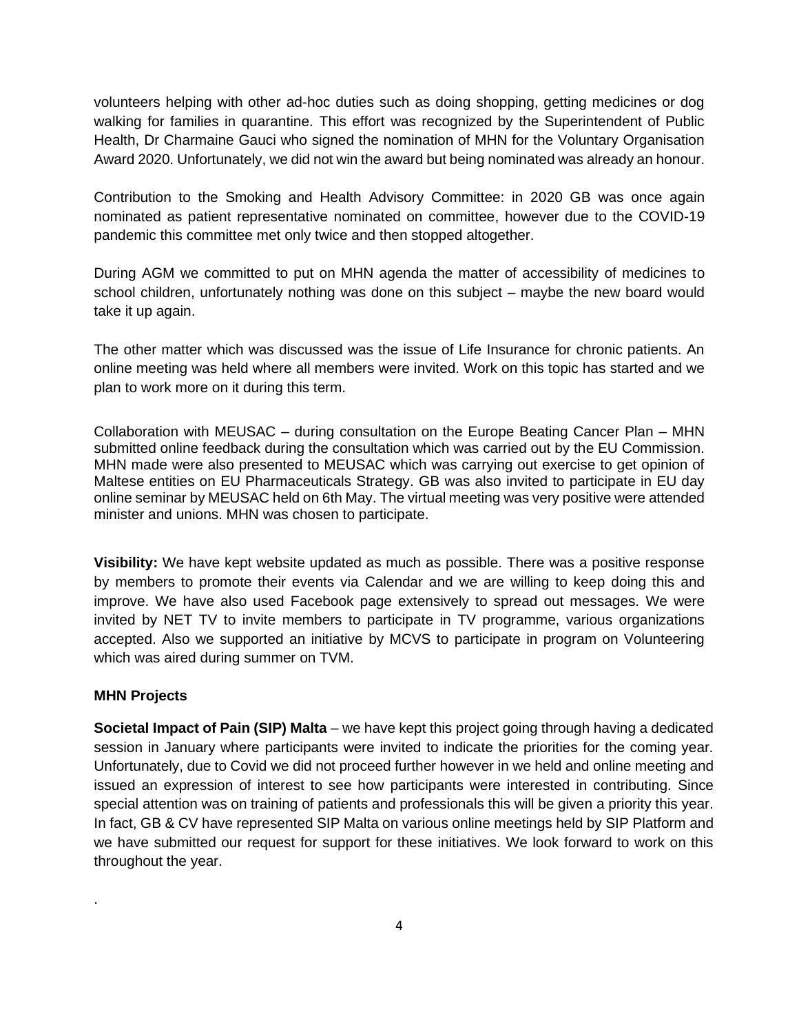volunteers helping with other ad-hoc duties such as doing shopping, getting medicines or dog walking for families in quarantine. This effort was recognized by the Superintendent of Public Health, Dr Charmaine Gauci who signed the nomination of MHN for the Voluntary Organisation Award 2020. Unfortunately, we did not win the award but being nominated was already an honour.

Contribution to the Smoking and Health Advisory Committee: in 2020 GB was once again nominated as patient representative nominated on committee, however due to the COVID-19 pandemic this committee met only twice and then stopped altogether.

During AGM we committed to put on MHN agenda the matter of accessibility of medicines to school children, unfortunately nothing was done on this subject – maybe the new board would take it up again.

The other matter which was discussed was the issue of Life Insurance for chronic patients. An online meeting was held where all members were invited. Work on this topic has started and we plan to work more on it during this term.

Collaboration with MEUSAC – during consultation on the Europe Beating Cancer Plan – MHN submitted online feedback during the consultation which was carried out by the EU Commission. MHN made were also presented to MEUSAC which was carrying out exercise to get opinion of Maltese entities on EU Pharmaceuticals Strategy. GB was also invited to participate in EU day online seminar by MEUSAC held on 6th May. The virtual meeting was very positive were attended minister and unions. MHN was chosen to participate.

**Visibility:** We have kept website updated as much as possible. There was a positive response by members to promote their events via Calendar and we are willing to keep doing this and improve. We have also used Facebook page extensively to spread out messages. We were invited by NET TV to invite members to participate in TV programme, various organizations accepted. Also we supported an initiative by MCVS to participate in program on Volunteering which was aired during summer on TVM.

## **MHN Projects**

.

**Societal Impact of Pain (SIP) Malta** – we have kept this project going through having a dedicated session in January where participants were invited to indicate the priorities for the coming year. Unfortunately, due to Covid we did not proceed further however in we held and online meeting and issued an expression of interest to see how participants were interested in contributing. Since special attention was on training of patients and professionals this will be given a priority this year. In fact, GB & CV have represented SIP Malta on various online meetings held by SIP Platform and we have submitted our request for support for these initiatives. We look forward to work on this throughout the year.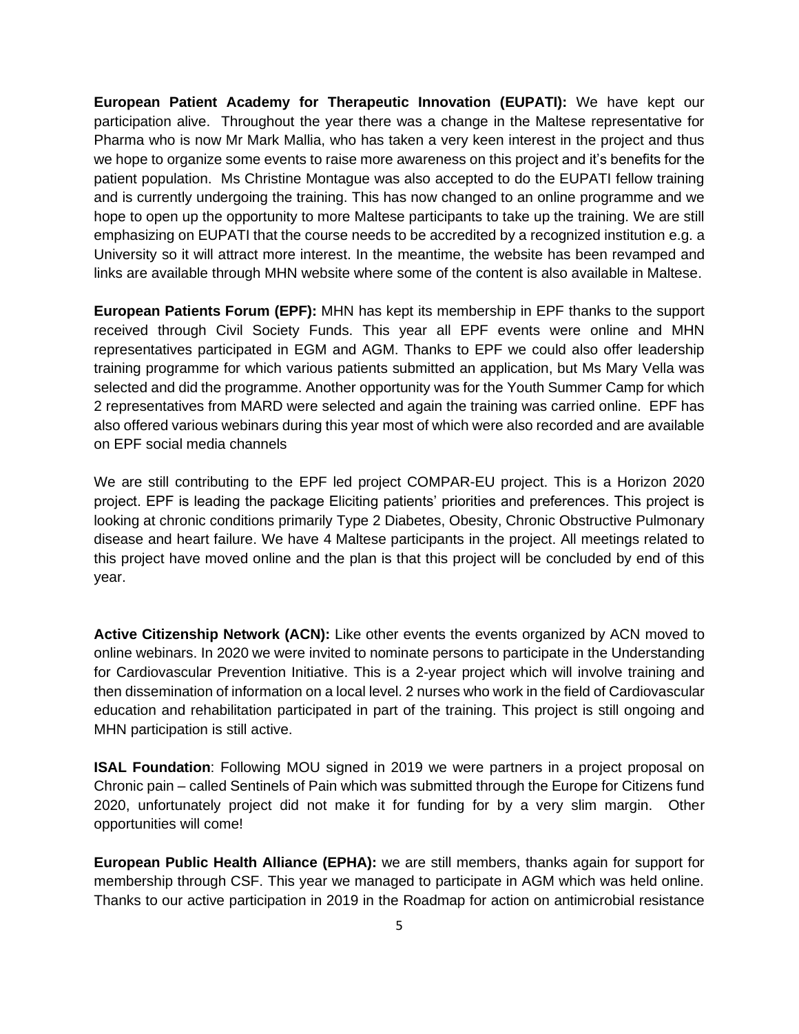**European Patient Academy for Therapeutic Innovation (EUPATI):** We have kept our participation alive. Throughout the year there was a change in the Maltese representative for Pharma who is now Mr Mark Mallia, who has taken a very keen interest in the project and thus we hope to organize some events to raise more awareness on this project and it's benefits for the patient population. Ms Christine Montague was also accepted to do the EUPATI fellow training and is currently undergoing the training. This has now changed to an online programme and we hope to open up the opportunity to more Maltese participants to take up the training. We are still emphasizing on EUPATI that the course needs to be accredited by a recognized institution e.g. a University so it will attract more interest. In the meantime, the website has been revamped and links are available through MHN website where some of the content is also available in Maltese.

**European Patients Forum (EPF):** MHN has kept its membership in EPF thanks to the support received through Civil Society Funds. This year all EPF events were online and MHN representatives participated in EGM and AGM. Thanks to EPF we could also offer leadership training programme for which various patients submitted an application, but Ms Mary Vella was selected and did the programme. Another opportunity was for the Youth Summer Camp for which 2 representatives from MARD were selected and again the training was carried online. EPF has also offered various webinars during this year most of which were also recorded and are available on EPF social media channels

We are still contributing to the EPF led project COMPAR-EU project. This is a Horizon 2020 project. EPF is leading the package Eliciting patients' priorities and preferences. This project is looking at chronic conditions primarily Type 2 Diabetes, Obesity, Chronic Obstructive Pulmonary disease and heart failure. We have 4 Maltese participants in the project. All meetings related to this project have moved online and the plan is that this project will be concluded by end of this year.

**Active Citizenship Network (ACN):** Like other events the events organized by ACN moved to online webinars. In 2020 we were invited to nominate persons to participate in the Understanding for Cardiovascular Prevention Initiative. This is a 2-year project which will involve training and then dissemination of information on a local level. 2 nurses who work in the field of Cardiovascular education and rehabilitation participated in part of the training. This project is still ongoing and MHN participation is still active.

**ISAL Foundation**: Following MOU signed in 2019 we were partners in a project proposal on Chronic pain – called Sentinels of Pain which was submitted through the Europe for Citizens fund 2020, unfortunately project did not make it for funding for by a very slim margin. Other opportunities will come!

**European Public Health Alliance (EPHA):** we are still members, thanks again for support for membership through CSF. This year we managed to participate in AGM which was held online. Thanks to our active participation in 2019 in the Roadmap for action on antimicrobial resistance